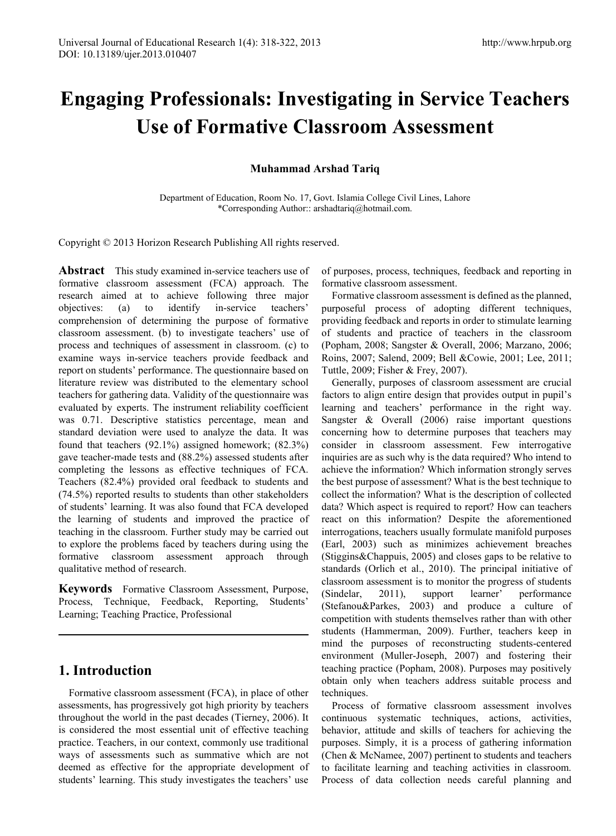# **Engaging Professionals: Investigating in Service Teachers Use of Formative Classroom Assessment**

## **Muhammad Arshad Tariq**

Department of Education, Room No. 17, Govt. Islamia College Civil Lines, Lahore \*Corresponding Author:: arshadtariq@hotmail.com.

Copyright © 2013 Horizon Research Publishing All rights reserved.

**Abstract** This study examined in-service teachers use of formative classroom assessment (FCA) approach. The research aimed at to achieve following three major objectives: (a) to identify in-service teachers' comprehension of determining the purpose of formative classroom assessment. (b) to investigate teachers' use of process and techniques of assessment in classroom. (c) to examine ways in-service teachers provide feedback and report on students' performance. The questionnaire based on literature review was distributed to the elementary school teachers for gathering data. Validity of the questionnaire was evaluated by experts. The instrument reliability coefficient was 0.71. Descriptive statistics percentage, mean and standard deviation were used to analyze the data. It was found that teachers (92.1%) assigned homework; (82.3%) gave teacher-made tests and (88.2%) assessed students after completing the lessons as effective techniques of FCA. Teachers (82.4%) provided oral feedback to students and (74.5%) reported results to students than other stakeholders of students' learning. It was also found that FCA developed the learning of students and improved the practice of teaching in the classroom. Further study may be carried out to explore the problems faced by teachers during using the formative classroom assessment approach through qualitative method of research.

**Keywords** Formative Classroom Assessment, Purpose, Process, Technique, Feedback, Reporting, Students' Learning; Teaching Practice, Professional

# **1. Introduction**

Formative classroom assessment (FCA), in place of other assessments, has progressively got high priority by teachers throughout the world in the past decades (Tierney, 2006). It is considered the most essential unit of effective teaching practice. Teachers, in our context, commonly use traditional ways of assessments such as summative which are not deemed as effective for the appropriate development of students' learning. This study investigates the teachers' use of purposes, process, techniques, feedback and reporting in formative classroom assessment.

Formative classroom assessment is defined as the planned, purposeful process of adopting different techniques, providing feedback and reports in order to stimulate learning of students and practice of teachers in the classroom (Popham, 2008; Sangster & Overall, 2006; Marzano, 2006; Roins, 2007; Salend, 2009; Bell &Cowie, 2001; Lee, 2011; Tuttle, 2009; Fisher & Frey, 2007).

Generally, purposes of classroom assessment are crucial factors to align entire design that provides output in pupil's learning and teachers' performance in the right way. Sangster & Overall (2006) raise important questions concerning how to determine purposes that teachers may consider in classroom assessment. Few interrogative inquiries are as such why is the data required? Who intend to achieve the information? Which information strongly serves the best purpose of assessment? What is the best technique to collect the information? What is the description of collected data? Which aspect is required to report? How can teachers react on this information? Despite the aforementioned interrogations, teachers usually formulate manifold purposes (Earl, 2003) such as minimizes achievement breaches (Stiggins&Chappuis, 2005) and closes gaps to be relative to standards (Orlich et al., 2010). The principal initiative of classroom assessment is to monitor the progress of students (Sindelar, 2011), support learner' performance (Stefanou&Parkes, 2003) and produce a culture of competition with students themselves rather than with other students (Hammerman, 2009). Further, teachers keep in mind the purposes of reconstructing students-centered environment (Muller-Joseph, 2007) and fostering their teaching practice (Popham, 2008). Purposes may positively obtain only when teachers address suitable process and techniques.

Process of formative classroom assessment involves continuous systematic techniques, actions, activities, behavior, attitude and skills of teachers for achieving the purposes. Simply, it is a process of gathering information (Chen & McNamee, 2007) pertinent to students and teachers to facilitate learning and teaching activities in classroom. Process of data collection needs careful planning and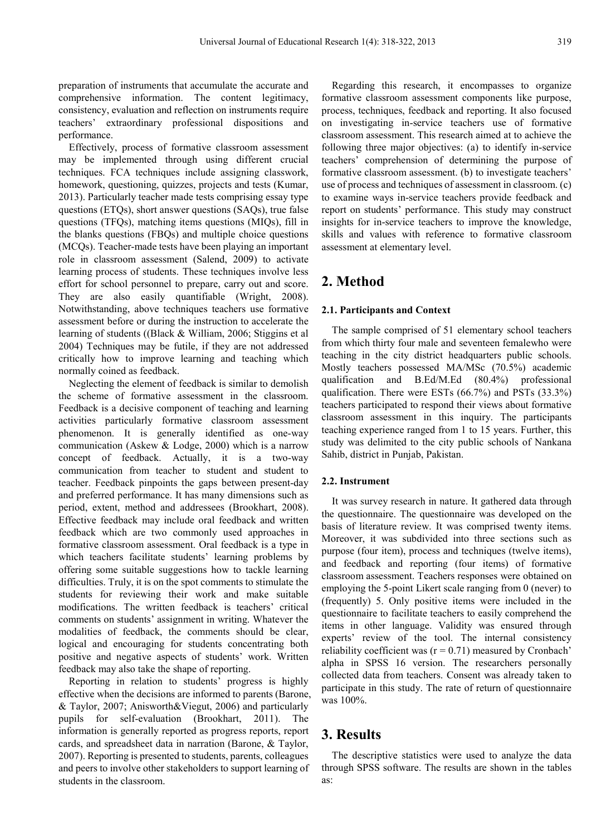preparation of instruments that accumulate the accurate and comprehensive information. The content legitimacy, consistency, evaluation and reflection on instruments require teachers' extraordinary professional dispositions and performance.

Effectively, process of formative classroom assessment may be implemented through using different crucial techniques. FCA techniques include assigning classwork, homework, questioning, quizzes, projects and tests (Kumar, 2013). Particularly teacher made tests comprising essay type questions (ETQs), short answer questions (SAQs), true false questions (TFQs), matching items questions (MIQs), fill in the blanks questions (FBQs) and multiple choice questions (MCQs). Teacher-made tests have been playing an important role in classroom assessment (Salend, 2009) to activate learning process of students. These techniques involve less effort for school personnel to prepare, carry out and score. They are also easily quantifiable (Wright, 2008). Notwithstanding, above techniques teachers use formative assessment before or during the instruction to accelerate the learning of students ((Black & William, 2006; Stiggins et al 2004) Techniques may be futile, if they are not addressed critically how to improve learning and teaching which normally coined as feedback.

Neglecting the element of feedback is similar to demolish the scheme of formative assessment in the classroom. Feedback is a decisive component of teaching and learning activities particularly formative classroom assessment phenomenon. It is generally identified as one-way communication (Askew & Lodge, 2000) which is a narrow concept of feedback. Actually, it is a two-way communication from teacher to student and student to teacher. Feedback pinpoints the gaps between present-day and preferred performance. It has many dimensions such as period, extent, method and addressees (Brookhart, 2008). Effective feedback may include oral feedback and written feedback which are two commonly used approaches in formative classroom assessment. Oral feedback is a type in which teachers facilitate students' learning problems by offering some suitable suggestions how to tackle learning difficulties. Truly, it is on the spot comments to stimulate the students for reviewing their work and make suitable modifications. The written feedback is teachers' critical comments on students' assignment in writing. Whatever the modalities of feedback, the comments should be clear, logical and encouraging for students concentrating both positive and negative aspects of students' work. Written feedback may also take the shape of reporting.

Reporting in relation to students' progress is highly effective when the decisions are informed to parents (Barone, & Taylor, 2007; Anisworth&Viegut, 2006) and particularly pupils for self-evaluation (Brookhart, 2011). The information is generally reported as progress reports, report cards, and spreadsheet data in narration (Barone, & Taylor, 2007). Reporting is presented to students, parents, colleagues and peers to involve other stakeholders to support learning of students in the classroom.

Regarding this research, it encompasses to organize formative classroom assessment components like purpose, process, techniques, feedback and reporting. It also focused on investigating in-service teachers use of formative classroom assessment. This research aimed at to achieve the following three major objectives: (a) to identify in-service teachers' comprehension of determining the purpose of formative classroom assessment. (b) to investigate teachers' use of process and techniques of assessment in classroom. (c) to examine ways in-service teachers provide feedback and report on students' performance. This study may construct insights for in-service teachers to improve the knowledge, skills and values with reference to formative classroom assessment at elementary level.

# **2. Method**

#### **2.1. Participants and Context**

The sample comprised of 51 elementary school teachers from which thirty four male and seventeen femalewho were teaching in the city district headquarters public schools. Mostly teachers possessed MA/MSc (70.5%) academic qualification and B.Ed/M.Ed (80.4%) professional qualification. There were ESTs (66.7%) and PSTs (33.3%) teachers participated to respond their views about formative classroom assessment in this inquiry. The participants teaching experience ranged from 1 to 15 years. Further, this study was delimited to the city public schools of Nankana Sahib, district in Punjab, Pakistan.

#### **2.2. Instrument**

It was survey research in nature. It gathered data through the questionnaire. The questionnaire was developed on the basis of literature review. It was comprised twenty items. Moreover, it was subdivided into three sections such as purpose (four item), process and techniques (twelve items), and feedback and reporting (four items) of formative classroom assessment. Teachers responses were obtained on employing the 5-point Likert scale ranging from 0 (never) to (frequently) 5. Only positive items were included in the questionnaire to facilitate teachers to easily comprehend the items in other language. Validity was ensured through experts' review of the tool. The internal consistency reliability coefficient was  $(r = 0.71)$  measured by Cronbach' alpha in SPSS 16 version. The researchers personally collected data from teachers. Consent was already taken to participate in this study. The rate of return of questionnaire was 100%.

## **3. Results**

The descriptive statistics were used to analyze the data through SPSS software. The results are shown in the tables as: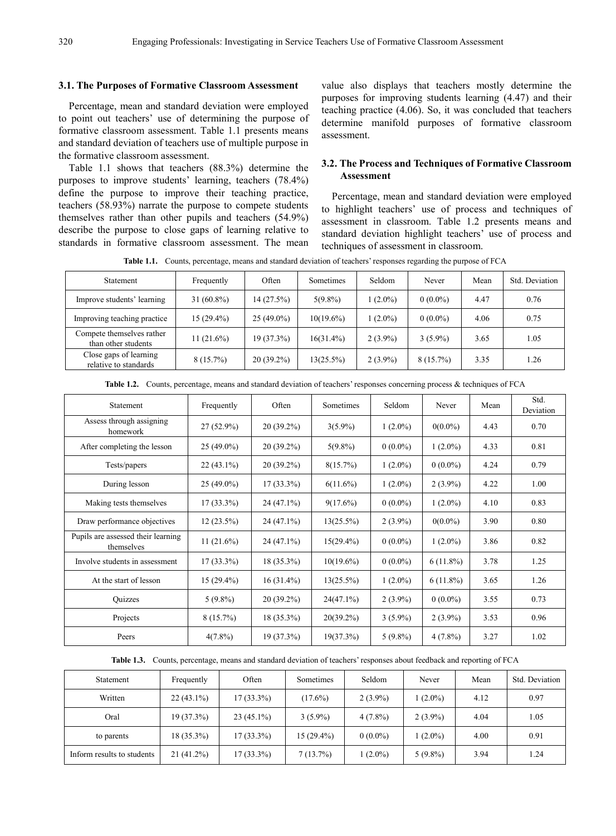#### **3.1. The Purposes of Formative Classroom Assessment**

Percentage, mean and standard deviation were employed to point out teachers' use of determining the purpose of formative classroom assessment. Table 1.1 presents means and standard deviation of teachers use of multiple purpose in the formative classroom assessment.

Table 1.1 shows that teachers (88.3%) determine the purposes to improve students' learning, teachers (78.4%) define the purpose to improve their teaching practice, teachers (58.93%) narrate the purpose to compete students themselves rather than other pupils and teachers (54.9%) describe the purpose to close gaps of learning relative to standards in formative classroom assessment. The mean

value also displays that teachers mostly determine the purposes for improving students learning (4.47) and their teaching practice (4.06). So, it was concluded that teachers determine manifold purposes of formative classroom assessment.

### **3.2. The Process and Techniques of Formative Classroom Assessment**

Percentage, mean and standard deviation were employed to highlight teachers' use of process and techniques of assessment in classroom. Table 1.2 presents means and standard deviation highlight teachers' use of process and techniques of assessment in classroom.

**Table 1.1.** Counts, percentage, means and standard deviation of teachers' responses regarding the purpose of FCA

| Statement                                        | Frequently   | Often        | Sometimes    | Seldom     | Never       | Mean | Std. Deviation |
|--------------------------------------------------|--------------|--------------|--------------|------------|-------------|------|----------------|
| Improve students' learning                       | $31(60.8\%)$ | 14(27.5%)    | $5(9.8\%)$   | $(2.0\%)$  | $0(0.0\%)$  | 4.47 | 0.76           |
| Improving teaching practice                      | $15(29.4\%)$ | $25(49.0\%)$ | $10(19.6\%)$ | $(2.0\%)$  | $0(0.0\%)$  | 4.06 | 0.75           |
| Compete themselves rather<br>than other students | $11(21.6\%)$ | $19(37.3\%)$ | $16(31.4\%)$ | $2(3.9\%)$ | $3(5.9\%)$  | 3.65 | 1.05           |
| Close gaps of learning<br>relative to standards  | $8(15.7\%)$  | $20(39.2\%)$ | $13(25.5\%)$ | $2(3.9\%)$ | $8(15.7\%)$ | 3.35 | 1.26           |

|  | Table 1.2. Counts, percentage, means and standard deviation of teachers' responses concerning process & techniques of FCA |  |  |
|--|---------------------------------------------------------------------------------------------------------------------------|--|--|
|  |                                                                                                                           |  |  |

| Statement                                        | Frequently   | Often        | Sometimes    | Seldom     | Never       | Mean | Std.<br>Deviation |
|--------------------------------------------------|--------------|--------------|--------------|------------|-------------|------|-------------------|
| Assess through assigning<br>homework             | $27(52.9\%)$ | $20(39.2\%)$ | $3(5.9\%)$   | $1(2.0\%)$ | $0(0.0\%)$  | 4.43 | 0.70              |
| After completing the lesson                      | $25(49.0\%)$ | $20(39.2\%)$ | $5(9.8\%)$   | $0(0.0\%)$ | $1(2.0\%)$  | 4.33 | 0.81              |
| Tests/papers                                     | $22(43.1\%)$ | $20(39.2\%)$ | $8(15.7\%)$  | $1(2.0\%)$ | $0(0.0\%)$  | 4.24 | 0.79              |
| During lesson                                    | $25(49.0\%)$ | $17(33.3\%)$ | $6(11.6\%)$  | $1(2.0\%)$ | $2(3.9\%)$  | 4.22 | 1.00              |
| Making tests themselves                          | $17(33.3\%)$ | $24(47.1\%)$ | $9(17.6\%)$  | $0(0.0\%)$ | $1(2.0\%)$  | 4.10 | 0.83              |
| Draw performance objectives                      | $12(23.5\%)$ | $24(47.1\%)$ | 13(25.5%)    | $2(3.9\%)$ | $0(0.0\%)$  | 3.90 | 0.80              |
| Pupils are assessed their learning<br>themselves | $11(21.6\%)$ | $24(47.1\%)$ | $15(29.4\%)$ | $0(0.0\%)$ | $1(2.0\%)$  | 3.86 | 0.82              |
| Involve students in assessment                   | $17(33.3\%)$ | $18(35.3\%)$ | $10(19.6\%)$ | $0(0.0\%)$ | $6(11.8\%)$ | 3.78 | 1.25              |
| At the start of lesson                           | $15(29.4\%)$ | $16(31.4\%)$ | 13(25.5%)    | $1(2.0\%)$ | $6(11.8\%)$ | 3.65 | 1.26              |
| <b>Ouizzes</b>                                   | $5(9.8\%)$   | $20(39.2\%)$ | $24(47.1\%)$ | $2(3.9\%)$ | $0(0.0\%)$  | 3.55 | 0.73              |
| Projects                                         | $8(15.7\%)$  | $18(35.3\%)$ | $20(39.2\%)$ | $3(5.9\%)$ | $2(3.9\%)$  | 3.53 | 0.96              |
| Peers                                            | $4(7.8\%)$   | 19(37.3%)    | 19(37.3%)    | $5(9.8\%)$ | $4(7.8\%)$  | 3.27 | 1.02              |

**Table 1.3.** Counts, percentage, means and standard deviation of teachers' responses about feedback and reporting of FCA

| Statement                  | Frequently   | Often        | Sometimes    | Seldom     | Never      | Mean | Std. Deviation |
|----------------------------|--------------|--------------|--------------|------------|------------|------|----------------|
| Written                    | $22(43.1\%)$ | 17 (33.3%)   | $(17.6\%)$   | $2(3.9\%)$ | $(2.0\%)$  | 4.12 | 0.97           |
| Oral                       | $19(37.3\%)$ | $23(45.1\%)$ | $3(5.9\%)$   | $4(7.8\%)$ | $2(3.9\%)$ | 4.04 | 1.05           |
| to parents                 | $18(35.3\%)$ | 17 (33.3%)   | $15(29.4\%)$ | $0(0.0\%)$ | $(2.0\%)$  | 4.00 | 0.91           |
| Inform results to students | $21(41.2\%)$ | 17 (33.3%)   | 7(13.7%)     | $1(2.0\%)$ | $5(9.8\%)$ | 3.94 | 1.24           |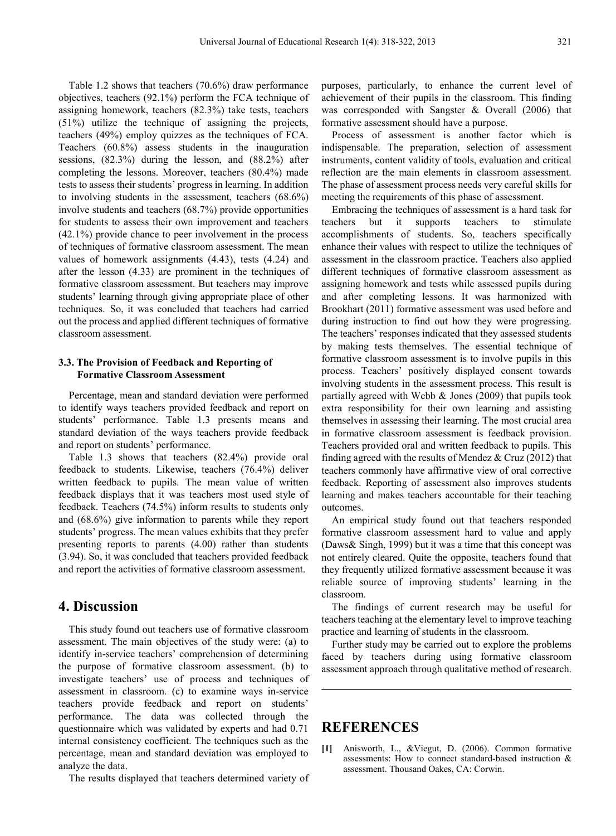Table 1.2 shows that teachers (70.6%) draw performance objectives, teachers (92.1%) perform the FCA technique of assigning homework, teachers (82.3%) take tests, teachers (51%) utilize the technique of assigning the projects, teachers (49%) employ quizzes as the techniques of FCA. Teachers (60.8%) assess students in the inauguration sessions, (82.3%) during the lesson, and (88.2%) after completing the lessons. Moreover, teachers (80.4%) made tests to assess their students' progress in learning. In addition to involving students in the assessment, teachers (68.6%) involve students and teachers (68.7%) provide opportunities for students to assess their own improvement and teachers (42.1%) provide chance to peer involvement in the process of techniques of formative classroom assessment. The mean values of homework assignments (4.43), tests (4.24) and after the lesson (4.33) are prominent in the techniques of formative classroom assessment. But teachers may improve students' learning through giving appropriate place of other techniques. So, it was concluded that teachers had carried out the process and applied different techniques of formative classroom assessment.

### **3.3. The Provision of Feedback and Reporting of Formative Classroom Assessment**

Percentage, mean and standard deviation were performed to identify ways teachers provided feedback and report on students' performance. Table 1.3 presents means and standard deviation of the ways teachers provide feedback and report on students' performance.

Table 1.3 shows that teachers (82.4%) provide oral feedback to students. Likewise, teachers (76.4%) deliver written feedback to pupils. The mean value of written feedback displays that it was teachers most used style of feedback. Teachers (74.5%) inform results to students only and (68.6%) give information to parents while they report students' progress. The mean values exhibits that they prefer presenting reports to parents (4.00) rather than students (3.94). So, it was concluded that teachers provided feedback and report the activities of formative classroom assessment.

## **4. Discussion**

This study found out teachers use of formative classroom assessment. The main objectives of the study were: (a) to identify in-service teachers' comprehension of determining the purpose of formative classroom assessment. (b) to investigate teachers' use of process and techniques of assessment in classroom. (c) to examine ways in-service teachers provide feedback and report on students' performance. The data was collected through the questionnaire which was validated by experts and had 0.71 internal consistency coefficient. The techniques such as the percentage, mean and standard deviation was employed to analyze the data.

The results displayed that teachers determined variety of

purposes, particularly, to enhance the current level of achievement of their pupils in the classroom. This finding was corresponded with Sangster & Overall (2006) that formative assessment should have a purpose.

Process of assessment is another factor which is indispensable. The preparation, selection of assessment instruments, content validity of tools, evaluation and critical reflection are the main elements in classroom assessment. The phase of assessment process needs very careful skills for meeting the requirements of this phase of assessment.

Embracing the techniques of assessment is a hard task for teachers but it supports teachers to stimulate accomplishments of students. So, teachers specifically enhance their values with respect to utilize the techniques of assessment in the classroom practice. Teachers also applied different techniques of formative classroom assessment as assigning homework and tests while assessed pupils during and after completing lessons. It was harmonized with Brookhart (2011) formative assessment was used before and during instruction to find out how they were progressing. The teachers' responses indicated that they assessed students by making tests themselves. The essential technique of formative classroom assessment is to involve pupils in this process. Teachers' positively displayed consent towards involving students in the assessment process. This result is partially agreed with Webb & Jones (2009) that pupils took extra responsibility for their own learning and assisting themselves in assessing their learning. The most crucial area in formative classroom assessment is feedback provision. Teachers provided oral and written feedback to pupils. This finding agreed with the results of Mendez  $& Cruz(2012)$  that teachers commonly have affirmative view of oral corrective feedback. Reporting of assessment also improves students learning and makes teachers accountable for their teaching outcomes.

An empirical study found out that teachers responded formative classroom assessment hard to value and apply (Daws& Singh, 1999) but it was a time that this concept was not entirely cleared. Quite the opposite, teachers found that they frequently utilized formative assessment because it was reliable source of improving students' learning in the classroom.

The findings of current research may be useful for teachers teaching at the elementary level to improve teaching practice and learning of students in the classroom.

Further study may be carried out to explore the problems faced by teachers during using formative classroom assessment approach through qualitative method of research.

# **REFERENCES**

**[1]** Anisworth, L., &Viegut, D. (2006). Common formative assessments: How to connect standard-based instruction & assessment. Thousand Oakes, CA: Corwin.